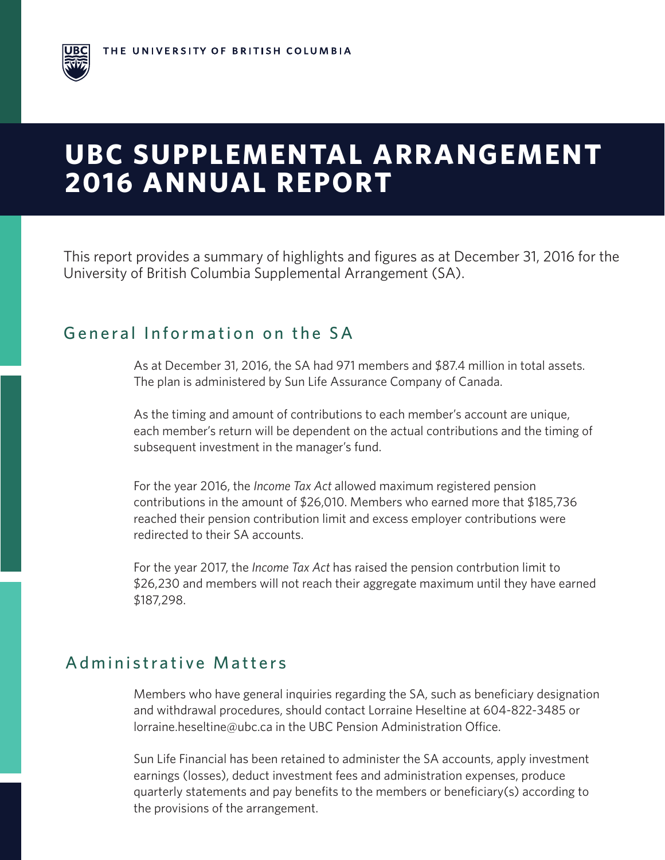

This report provides a summary of highlights and figures as at December 31, 2016 for the University of British Columbia Supplemental Arrangement (SA).

### General Information on the SA

As at December 31, 2016, the SA had 971 members and \$87.4 million in total assets. The plan is administered by Sun Life Assurance Company of Canada.

As the timing and amount of contributions to each member's account are unique, each member's return will be dependent on the actual contributions and the timing of subsequent investment in the manager's fund.

For the year 2016, the *Income Tax Act* allowed maximum registered pension contributions in the amount of \$26,010. Members who earned more that \$185,736 reached their pension contribution limit and excess employer contributions were redirected to their SA accounts.

For the year 2017, the *Income Tax Act* has raised the pension contrbution limit to \$26,230 and members will not reach their aggregate maximum until they have earned \$187,298.

### Administrative Matters

Members who have general inquiries regarding the SA, such as beneficiary designation and withdrawal procedures, should contact Lorraine Heseltine at 604-822-3485 or lorraine.heseltine@ubc.ca in the UBC Pension Administration Office.

Sun Life Financial has been retained to administer the SA accounts, apply investment earnings (losses), deduct investment fees and administration expenses, produce quarterly statements and pay benefits to the members or beneficiary(s) according to the provisions of the arrangement.